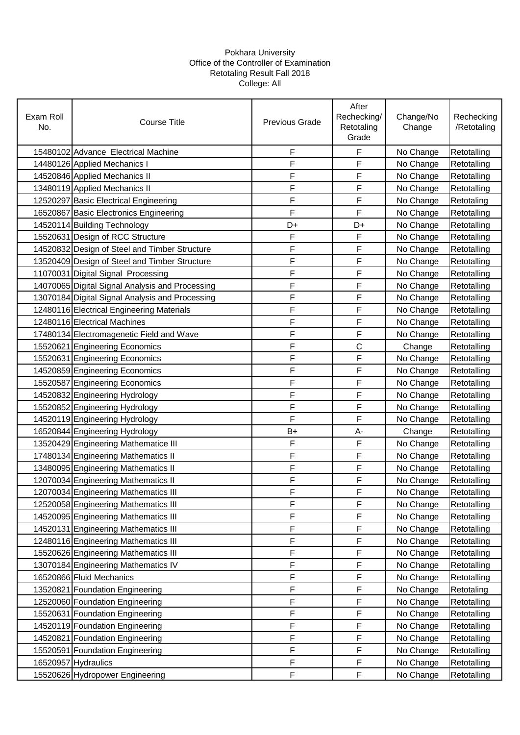## Pokhara University Office of the Controller of Examination Retotaling Result Fall 2018 College: All

| Exam Roll<br>No. | Course Title                                    | <b>Previous Grade</b> | After<br>Rechecking/<br>Retotaling<br>Grade | Change/No<br>Change | Rechecking<br>/Retotaling |
|------------------|-------------------------------------------------|-----------------------|---------------------------------------------|---------------------|---------------------------|
|                  | 15480102 Advance Electrical Machine             | F                     | F                                           | No Change           | Retotalling               |
|                  | 14480126 Applied Mechanics I                    | F                     | F                                           | No Change           | Retotalling               |
|                  | 14520846 Applied Mechanics II                   | F                     | F                                           | No Change           | Retotalling               |
|                  | 13480119 Applied Mechanics II                   | F                     | F                                           | No Change           | Retotalling               |
|                  | 12520297 Basic Electrical Engineering           | F                     | F                                           | No Change           | Retotaling                |
|                  | 16520867 Basic Electronics Engineering          | F                     | F                                           | No Change           | Retotalling               |
|                  | 14520114 Building Technology                    | D+                    | D+                                          | No Change           | Retotalling               |
|                  | 15520631 Design of RCC Structure                | F                     | F                                           | No Change           | Retotalling               |
|                  | 14520832 Design of Steel and Timber Structure   | F                     | F                                           | No Change           | Retotalling               |
|                  | 13520409 Design of Steel and Timber Structure   | F                     | F                                           | No Change           | Retotalling               |
|                  | 11070031 Digital Signal Processing              | F                     | F                                           | No Change           | Retotalling               |
|                  | 14070065 Digital Signal Analysis and Processing | F                     | F                                           | No Change           | Retotalling               |
|                  | 13070184 Digital Signal Analysis and Processing | F                     | F                                           | No Change           | Retotalling               |
|                  | 12480116 Electrical Engineering Materials       | F                     | F                                           | No Change           | Retotalling               |
|                  | 12480116 Electrical Machines                    | F                     | F                                           | No Change           | Retotalling               |
|                  | 17480134 Electromagenetic Field and Wave        | F                     | F                                           | No Change           | Retotalling               |
|                  | 15520621 Engineering Economics                  | F                     | $\mathsf C$                                 | Change              | Retotalling               |
|                  | 15520631 Engineering Economics                  | F                     | F                                           | No Change           | Retotalling               |
|                  | 14520859 Engineering Economics                  | F                     | F                                           | No Change           | Retotalling               |
|                  | 15520587 Engineering Economics                  | F                     | F                                           | No Change           | Retotalling               |
|                  | 14520832 Engineering Hydrology                  | F                     | F                                           | No Change           | Retotalling               |
|                  | 15520852 Engineering Hydrology                  | F                     | F                                           | No Change           | Retotalling               |
|                  | 14520119 Engineering Hydrology                  | F                     | F                                           | No Change           | Retotalling               |
|                  | 16520844 Engineering Hydrology                  | $B+$                  | А-                                          | Change              | Retotalling               |
|                  | 13520429 Engineering Mathematice III            | F                     | F                                           | No Change           | Retotalling               |
|                  | 17480134 Engineering Mathematics II             | F                     | F                                           | No Change           | Retotalling               |
|                  | 13480095 Engineering Mathematics II             | F                     | F                                           | No Change           | Retotalling               |
|                  | 12070034 Engineering Mathematics II             | F                     | F                                           | No Change           | Retotalling               |
|                  | 12070034 Engineering Mathematics III            | F                     | F                                           | No Change           | Retotalling               |
|                  | 12520058 Engineering Mathematics III            | F                     | F                                           | No Change           | Retotalling               |
|                  | 14520095 Engineering Mathematics III            | F                     | F                                           | No Change           | Retotalling               |
|                  | 14520131 Engineering Mathematics III            | F                     | F                                           | No Change           | Retotalling               |
|                  | 12480116 Engineering Mathematics III            | F                     | F                                           | No Change           | Retotalling               |
|                  | 15520626 Engineering Mathematics III            | F                     | F                                           | No Change           | Retotalling               |
|                  | 13070184 Engineering Mathematics IV             | F                     | F                                           | No Change           | Retotalling               |
|                  | 16520866 Fluid Mechanics                        | F                     | F                                           | No Change           | Retotalling               |
|                  | 13520821 Foundation Engineering                 | F                     | F                                           | No Change           | Retotaling                |
|                  | 12520060 Foundation Engineering                 | F                     | F                                           | No Change           | Retotalling               |
|                  | 15520631 Foundation Engineering                 | F                     | $\mathsf F$                                 | No Change           | Retotalling               |
|                  | 14520119 Foundation Engineering                 | F                     | F                                           | No Change           | Retotalling               |
|                  | 14520821 Foundation Engineering                 | F                     | F                                           | No Change           | Retotalling               |
|                  | 15520591 Foundation Engineering                 | F                     | $\mathsf F$                                 | No Change           | Retotalling               |
|                  | 16520957 Hydraulics                             | F                     | F                                           | No Change           | Retotalling               |
|                  | 15520626 Hydropower Engineering                 | F                     | $\mathsf F$                                 | No Change           | Retotalling               |